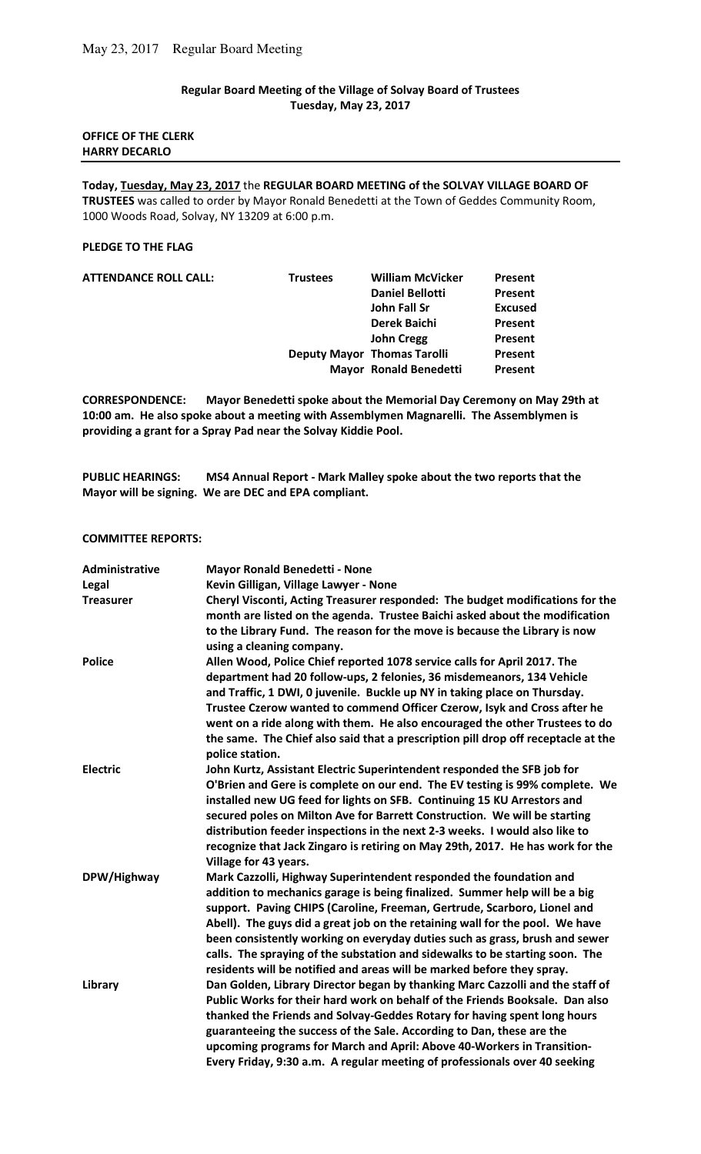## **Regular Board Meeting of the Village of Solvay Board of Trustees Tuesday, May 23, 2017**

## **OFFICE OF THE CLERK HARRY DECARLO**

**Today, Tuesday, May 23, 2017** the **REGULAR BOARD MEETING of the SOLVAY VILLAGE BOARD OF TRUSTEES** was called to order by Mayor Ronald Benedetti at the Town of Geddes Community Room, 1000 Woods Road, Solvay, NY 13209 at 6:00 p.m.

### **PLEDGE TO THE FLAG**

| <b>Trustees</b> | <b>William McVicker</b> | Present                                                             |
|-----------------|-------------------------|---------------------------------------------------------------------|
|                 | <b>Daniel Bellotti</b>  | Present                                                             |
|                 | John Fall Sr            | <b>Excused</b>                                                      |
|                 | <b>Derek Baichi</b>     | Present                                                             |
|                 | <b>John Cregg</b>       | Present                                                             |
|                 |                         | Present                                                             |
|                 |                         | Present                                                             |
|                 |                         | <b>Deputy Mayor Thomas Tarolli</b><br><b>Mayor Ronald Benedetti</b> |

**CORRESPONDENCE: Mayor Benedetti spoke about the Memorial Day Ceremony on May 29th at 10:00 am. He also spoke about a meeting with Assemblymen Magnarelli. The Assemblymen is providing a grant for a Spray Pad near the Solvay Kiddie Pool.** 

**PUBLIC HEARINGS: MS4 Annual Report - Mark Malley spoke about the two reports that the Mayor will be signing. We are DEC and EPA compliant.** 

#### **COMMITTEE REPORTS:**

| <b>Administrative</b> | <b>Mayor Ronald Benedetti - None</b>                                                                 |
|-----------------------|------------------------------------------------------------------------------------------------------|
| Legal                 | Kevin Gilligan, Village Lawyer - None                                                                |
| <b>Treasurer</b>      | Cheryl Visconti, Acting Treasurer responded: The budget modifications for the                        |
|                       | month are listed on the agenda. Trustee Baichi asked about the modification                          |
|                       | to the Library Fund. The reason for the move is because the Library is now                           |
|                       | using a cleaning company.                                                                            |
| <b>Police</b>         | Allen Wood, Police Chief reported 1078 service calls for April 2017. The                             |
|                       | department had 20 follow-ups, 2 felonies, 36 misdemeanors, 134 Vehicle                               |
|                       | and Traffic, 1 DWI, 0 juvenile. Buckle up NY in taking place on Thursday.                            |
|                       | Trustee Czerow wanted to commend Officer Czerow, Isyk and Cross after he                             |
|                       | went on a ride along with them. He also encouraged the other Trustees to do                          |
|                       | the same. The Chief also said that a prescription pill drop off receptacle at the<br>police station. |
| <b>Electric</b>       | John Kurtz, Assistant Electric Superintendent responded the SFB job for                              |
|                       | O'Brien and Gere is complete on our end. The EV testing is 99% complete. We                          |
|                       | installed new UG feed for lights on SFB. Continuing 15 KU Arrestors and                              |
|                       | secured poles on Milton Ave for Barrett Construction. We will be starting                            |
|                       | distribution feeder inspections in the next 2-3 weeks. I would also like to                          |
|                       | recognize that Jack Zingaro is retiring on May 29th, 2017. He has work for the                       |
|                       | Village for 43 years.                                                                                |
| DPW/Highway           | Mark Cazzolli, Highway Superintendent responded the foundation and                                   |
|                       | addition to mechanics garage is being finalized. Summer help will be a big                           |
|                       | support. Paving CHIPS (Caroline, Freeman, Gertrude, Scarboro, Lionel and                             |
|                       | Abell). The guys did a great job on the retaining wall for the pool. We have                         |
|                       | been consistently working on everyday duties such as grass, brush and sewer                          |
|                       | calls. The spraying of the substation and sidewalks to be starting soon. The                         |
|                       | residents will be notified and areas will be marked before they spray.                               |
| Library               | Dan Golden, Library Director began by thanking Marc Cazzolli and the staff of                        |
|                       | Public Works for their hard work on behalf of the Friends Booksale. Dan also                         |
|                       | thanked the Friends and Solvay-Geddes Rotary for having spent long hours                             |
|                       | guaranteeing the success of the Sale. According to Dan, these are the                                |
|                       | upcoming programs for March and April: Above 40-Workers in Transition-                               |
|                       | Every Friday, 9:30 a.m. A regular meeting of professionals over 40 seeking                           |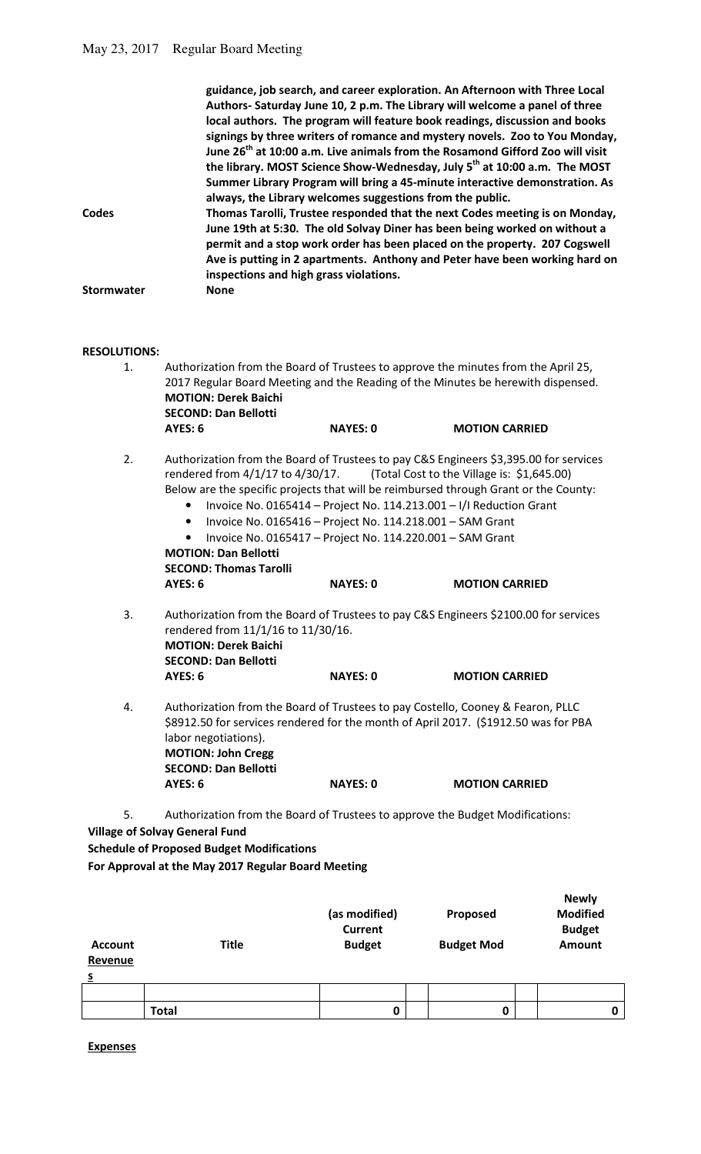|                   | guidance, job search, and career exploration. An Afternoon with Three Local               |
|-------------------|-------------------------------------------------------------------------------------------|
|                   | Authors- Saturday June 10, 2 p.m. The Library will welcome a panel of three               |
|                   | local authors. The program will feature book readings, discussion and books               |
|                   | signings by three writers of romance and mystery novels. Zoo to You Monday,               |
|                   | June 26 <sup>th</sup> at 10:00 a.m. Live animals from the Rosamond Gifford Zoo will visit |
|                   | the library. MOST Science Show-Wednesday, July 5 <sup>th</sup> at 10:00 a.m. The MOST     |
|                   | Summer Library Program will bring a 45-minute interactive demonstration. As               |
|                   | always, the Library welcomes suggestions from the public.                                 |
| Codes             | Thomas Tarolli, Trustee responded that the next Codes meeting is on Monday,               |
|                   | June 19th at 5:30. The old Solvay Diner has been being worked on without a                |
|                   | permit and a stop work order has been placed on the property. 207 Cogswell                |
|                   | Ave is putting in 2 apartments. Anthony and Peter have been working hard on               |
|                   | inspections and high grass violations.                                                    |
| <b>Stormwater</b> | <b>None</b>                                                                               |
|                   |                                                                                           |

# **RESOLUTIONS:**

| גרטו ו טועכאה. |                                                                                                                                                                                                                                                                                                                        |                                                                                                                                                                                                                  |                                                                     |
|----------------|------------------------------------------------------------------------------------------------------------------------------------------------------------------------------------------------------------------------------------------------------------------------------------------------------------------------|------------------------------------------------------------------------------------------------------------------------------------------------------------------------------------------------------------------|---------------------------------------------------------------------|
| 1.             | Authorization from the Board of Trustees to approve the minutes from the April 25,<br>2017 Regular Board Meeting and the Reading of the Minutes be herewith dispensed.<br><b>MOTION: Derek Baichi</b><br><b>SECOND: Dan Bellotti</b>                                                                                   |                                                                                                                                                                                                                  |                                                                     |
|                | AYES: 6                                                                                                                                                                                                                                                                                                                | <b>NAYES: 0</b>                                                                                                                                                                                                  | <b>MOTION CARRIED</b>                                               |
| 2.             | Authorization from the Board of Trustees to pay C&S Engineers \$3,395.00 for services<br>rendered from 4/1/17 to 4/30/17.<br>Below are the specific projects that will be reimbursed through Grant or the County:<br>$\bullet$<br>$\bullet$<br><b>MOTION: Dan Bellotti</b><br><b>SECOND: Thomas Tarolli</b><br>AYES: 6 | Invoice No. 0165414 - Project No. 114.213.001 - I/I Reduction Grant<br>Invoice No. 0165416 - Project No. 114.218.001 - SAM Grant<br>Invoice No. 0165417 - Project No. 114.220.001 - SAM Grant<br><b>NAYES: 0</b> | (Total Cost to the Village is: \$1,645.00)<br><b>MOTION CARRIED</b> |
| 3.             | Authorization from the Board of Trustees to pay C&S Engineers \$2100.00 for services<br>rendered from 11/1/16 to 11/30/16.<br><b>MOTION: Derek Baichi</b><br><b>SECOND: Dan Bellotti</b><br>AYES: 6                                                                                                                    | <b>NAYES: 0</b>                                                                                                                                                                                                  | <b>MOTION CARRIED</b>                                               |
| 4.             | Authorization from the Board of Trustees to pay Costello, Cooney & Fearon, PLLC<br>\$8912.50 for services rendered for the month of April 2017. (\$1912.50 was for PBA<br>labor negotiations).<br><b>MOTION: John Cregg</b><br><b>SECOND: Dan Bellotti</b><br>AYES: 6                                                  | <b>NAYES: 0</b>                                                                                                                                                                                                  | <b>MOTION CARRIED</b>                                               |
|                |                                                                                                                                                                                                                                                                                                                        |                                                                                                                                                                                                                  |                                                                     |

5. Authorization from the Board of Trustees to approve the Budget Modifications: **Village of Solvay General Fund**

**Schedule of Proposed Budget Modifications For Approval at the May 2017 Regular Board Meeting**

| <b>Account</b><br>Revenue<br>s | <b>Title</b> | (as modified)<br><b>Current</b><br><b>Budget</b> | Proposed<br><b>Budget Mod</b> | <b>Newly</b><br><b>Modified</b><br><b>Budget</b><br>Amount |
|--------------------------------|--------------|--------------------------------------------------|-------------------------------|------------------------------------------------------------|
|                                |              |                                                  |                               |                                                            |
|                                | <b>Total</b> | 0                                                | 0                             | 0                                                          |

**Expenses**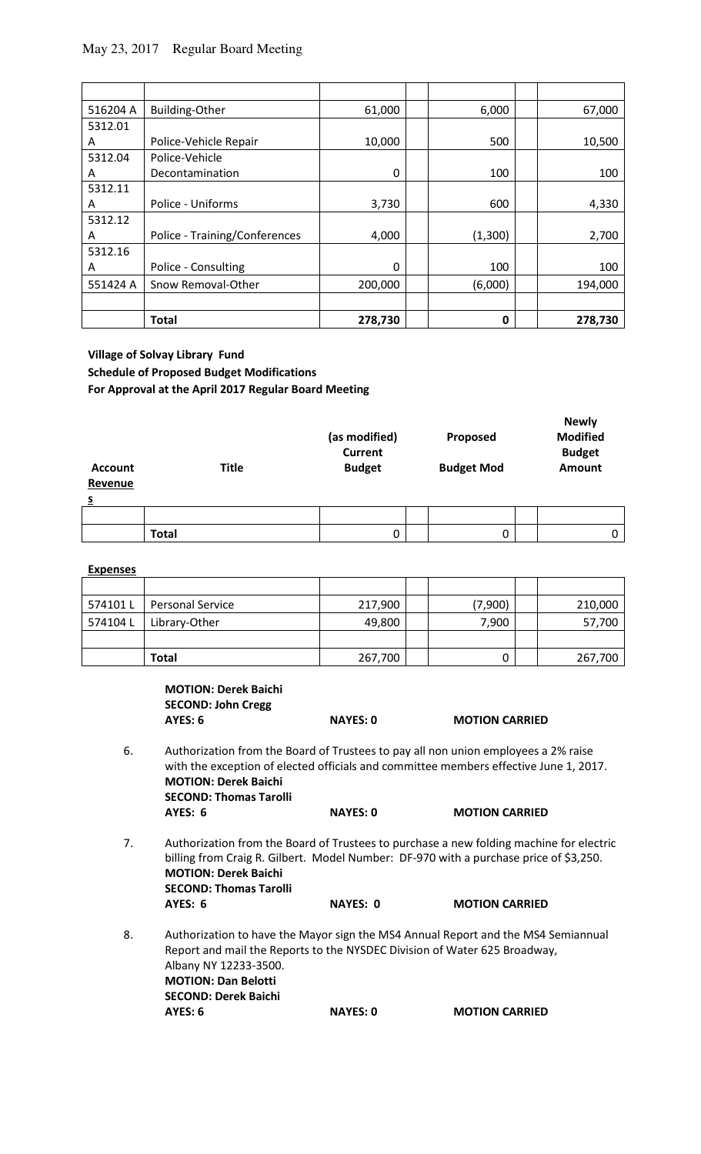# May 23, 2017 Regular Board Meeting

| 516204 A | <b>Building-Other</b>         | 61,000   | 6,000   | 67,000  |
|----------|-------------------------------|----------|---------|---------|
| 5312.01  |                               |          |         |         |
| A        | Police-Vehicle Repair         | 10,000   | 500     | 10,500  |
| 5312.04  | Police-Vehicle                |          |         |         |
| A        | Decontamination               | $\Omega$ | 100     | 100     |
| 5312.11  |                               |          |         |         |
| A        | Police - Uniforms             | 3,730    | 600     | 4,330   |
| 5312.12  |                               |          |         |         |
| A        | Police - Training/Conferences | 4,000    | (1,300) | 2,700   |
| 5312.16  |                               |          |         |         |
| A        | Police - Consulting           | $\Omega$ | 100     | 100     |
| 551424 A | Snow Removal-Other            | 200,000  | (6,000) | 194,000 |
|          |                               |          |         |         |
|          | <b>Total</b>                  | 278,730  | 0       | 278,730 |

**Village of Solvay Library Fund Schedule of Proposed Budget Modifications For Approval at the April 2017 Regular Board Meeting**

| <b>Account</b><br>Revenue<br>$\overline{\mathbf{S}}$ | <b>Title</b> | (as modified)<br><b>Current</b><br><b>Budget</b> | Proposed<br><b>Budget Mod</b> | <b>Newly</b><br><b>Modified</b><br><b>Budget</b><br><b>Amount</b> |
|------------------------------------------------------|--------------|--------------------------------------------------|-------------------------------|-------------------------------------------------------------------|
|                                                      |              |                                                  |                               |                                                                   |
|                                                      | <b>Total</b> | 0                                                | $\Omega$                      | 0                                                                 |

| <b>Expenses</b> |                         |         |         |         |
|-----------------|-------------------------|---------|---------|---------|
|                 |                         |         |         |         |
| 574101L         | <b>Personal Service</b> | 217,900 | (7,900) | 210,000 |
| 574104L         | Library-Other           | 49,800  | 7,900   | 57,700  |
|                 |                         |         |         |         |
|                 | <b>Total</b>            | 267,700 |         | 267,700 |

|    | <b>MOTION: Derek Baichi</b><br><b>SECOND: John Cregg</b><br><b>AYES: 6</b>         | <b>NAYES: 0</b> | <b>MOTION CARRIED</b>                                                                                                                                                            |  |
|----|------------------------------------------------------------------------------------|-----------------|----------------------------------------------------------------------------------------------------------------------------------------------------------------------------------|--|
| 6. | <b>MOTION: Derek Baichi</b><br><b>SECOND: Thomas Tarolli</b>                       |                 | Authorization from the Board of Trustees to pay all non union employees a 2% raise<br>with the exception of elected officials and committee members effective June 1, 2017.      |  |
|    | AYES: 6                                                                            | <b>NAYES: 0</b> | <b>MOTION CARRIED</b>                                                                                                                                                            |  |
| 7. | <b>MOTION: Derek Baichi</b><br><b>SECOND: Thomas Tarolli</b>                       |                 | Authorization from the Board of Trustees to purchase a new folding machine for electric<br>billing from Craig R. Gilbert. Model Number: DF-970 with a purchase price of \$3,250. |  |
|    | AYES: 6                                                                            | <b>NAYES: 0</b> | <b>MOTION CARRIED</b>                                                                                                                                                            |  |
| 8. | Albany NY 12233-3500.<br><b>MOTION: Dan Belotti</b><br><b>SECOND: Derek Baichi</b> |                 | Authorization to have the Mayor sign the MS4 Annual Report and the MS4 Semiannual<br>Report and mail the Reports to the NYSDEC Division of Water 625 Broadway,                   |  |

**AYES: 6 NAYES: 0 MOTION CARRIED**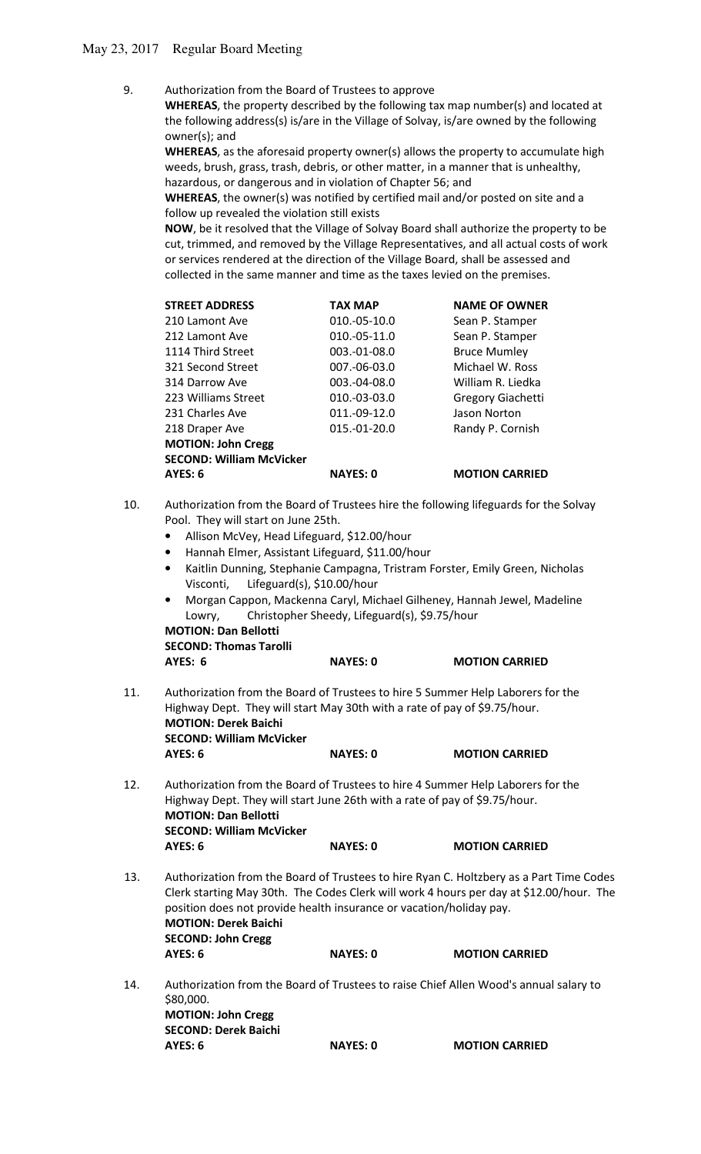9. Authorization from the Board of Trustees to approve

 **WHEREAS**, the property described by the following tax map number(s) and located at the following address(s) is/are in the Village of Solvay, is/are owned by the following owner(s); and

 **WHEREAS**, as the aforesaid property owner(s) allows the property to accumulate high weeds, brush, grass, trash, debris, or other matter, in a manner that is unhealthy, hazardous, or dangerous and in violation of Chapter 56; and

 **WHEREAS**, the owner(s) was notified by certified mail and/or posted on site and a follow up revealed the violation still exists

 **NOW**, be it resolved that the Village of Solvay Board shall authorize the property to be cut, trimmed, and removed by the Village Representatives, and all actual costs of work or services rendered at the direction of the Village Board, shall be assessed and collected in the same manner and time as the taxes levied on the premises.

| <b>STREET ADDRESS</b>           | <b>TAX MAP</b>    | <b>NAME OF OWNER</b>  |
|---------------------------------|-------------------|-----------------------|
| 210 Lamont Ave                  | $010.-05-10.0$    | Sean P. Stamper       |
| 212 Lamont Ave                  | $010.-05-11.0$    | Sean P. Stamper       |
| 1114 Third Street               | $003.-01-08.0$    | <b>Bruce Mumley</b>   |
| 321 Second Street               | $007 - 06 - 03.0$ | Michael W. Ross       |
| 314 Darrow Ave                  | $003.-04-08.0$    | William R. Liedka     |
| 223 Williams Street             | $010.-03-03.0$    | Gregory Giachetti     |
| 231 Charles Ave                 | 011.-09-12.0      | Jason Norton          |
| 218 Draper Ave                  | $015.-01-20.0$    | Randy P. Cornish      |
| <b>MOTION: John Cregg</b>       |                   |                       |
| <b>SECOND: William McVicker</b> |                   |                       |
| AYES: 6                         | <b>NAYES: 0</b>   | <b>MOTION CARRIED</b> |

- 10. Authorization from the Board of Trustees hire the following lifeguards for the Solvay Pool. They will start on June 25th.
	- Allison McVey, Head Lifeguard, \$12.00/hour
	- Hannah Elmer, Assistant Lifeguard, \$11.00/hour
	- Kaitlin Dunning, Stephanie Campagna, Tristram Forster, Emily Green, Nicholas Visconti, Lifeguard(s), \$10.00/hour
	- Morgan Cappon, Mackenna Caryl, Michael Gilheney, Hannah Jewel, Madeline Lowry, Christopher Sheedy, Lifeguard(s), \$9.75/hour  **MOTION: Dan Bellotti**

 **SECOND: Thomas Tarolli** 

| AYES: 6<br><b>NAYES: 0</b> | <b>MOTION CARRIED</b> |
|----------------------------|-----------------------|
|----------------------------|-----------------------|

- 11. Authorization from the Board of Trustees to hire 5 Summer Help Laborers for the Highway Dept. They will start May 30th with a rate of pay of \$9.75/hour.  **MOTION: Derek Baichi SECOND: William McVicker AYES: 6 NAYES: 0 MOTION CARRIED**
- 12. Authorization from the Board of Trustees to hire 4 Summer Help Laborers for the Highway Dept. They will start June 26th with a rate of pay of \$9.75/hour.  **MOTION: Dan Bellotti SECOND: William McVicker AYES: 6 NAYES: 0 MOTION CARRIED**
- 13. Authorization from the Board of Trustees to hire Ryan C. Holtzbery as a Part Time Codes Clerk starting May 30th. The Codes Clerk will work 4 hours per day at \$12.00/hour. The position does not provide health insurance or vacation/holiday pay. **MOTION: Derek Baichi SECOND: John Cregg AYES: 6 NAYES: 0 MOTION CARRIED**
- 14. Authorization from the Board of Trustees to raise Chief Allen Wood's annual salary to \$80,000. **MOTION: John Cregg SECOND: Derek Baichi AYES: 6 NAYES: 0 MOTION CARRIED**